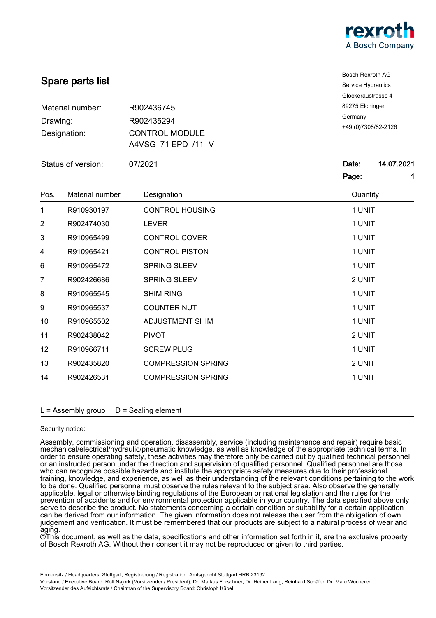

|                          | Spare parts list | <b>Bosch Rexroth AG</b><br>Service Hydraulics              |                                 |  |
|--------------------------|------------------|------------------------------------------------------------|---------------------------------|--|
|                          |                  |                                                            | Glockeraustrasse 4              |  |
| Material number:         |                  | R902436745                                                 | 89275 Elchingen                 |  |
| Drawing:<br>Designation: |                  | R902435294<br><b>CONTROL MODULE</b><br>A4VSG 71 EPD /11 -V | Germany<br>+49 (0) 7308/82-2126 |  |
|                          |                  |                                                            |                                 |  |
|                          |                  |                                                            | Status of version:              |  |
|                          |                  |                                                            | Page:<br>1                      |  |
| Pos.                     | Material number  | Designation                                                | Quantity                        |  |
| 1                        | R910930197       | <b>CONTROL HOUSING</b>                                     | 1 UNIT                          |  |
| $\overline{2}$           | R902474030       | <b>LEVER</b>                                               | 1 UNIT                          |  |
| 3                        | R910965499       | <b>CONTROL COVER</b>                                       | 1 UNIT                          |  |
| 4                        | R910965421       | <b>CONTROL PISTON</b>                                      | 1 UNIT                          |  |
| 6                        | R910965472       | SPRING SLEEV                                               | 1 UNIT                          |  |
| 7                        | R902426686       | SPRING SLEEV                                               | 2 UNIT                          |  |
| 8                        | R910965545       | <b>SHIM RING</b>                                           | 1 UNIT                          |  |
| 9                        | R910965537       | <b>COUNTER NUT</b>                                         | 1 UNIT                          |  |
| 10                       | R910965502       | <b>ADJUSTMENT SHIM</b>                                     | 1 UNIT                          |  |
| 11                       | R902438042       | <b>PIVOT</b>                                               | 2 UNIT                          |  |
| 12                       | R910966711       | <b>SCREW PLUG</b>                                          | 1 UNIT                          |  |
| 13                       | R902435820       | <b>COMPRESSION SPRING</b>                                  | 2 UNIT                          |  |
| 14                       | R902426531       | <b>COMPRESSION SPRING</b>                                  | 1 UNIT                          |  |
|                          |                  |                                                            |                                 |  |

# Security notice:

Assembly, commissioning and operation, disassembly, service (including maintenance and repair) require basic mechanical/electrical/hydraulic/pneumatic knowledge, as well as knowledge of the appropriate technical terms. In order to ensure operating safety, these activities may therefore only be carried out by qualified technical personnel or an instructed person under the direction and supervision of qualified personnel. Qualified personnel are those who can recognize possible hazards and institute the appropriate safety measures due to their professional training, knowledge, and experience, as well as their understanding of the relevant conditions pertaining to the work to be done. Qualified personnel must observe the rules relevant to the subject area. Also observe the generally applicable, legal or otherwise binding regulations of the European or national legislation and the rules for the prevention of accidents and for environmental protection applicable in your country. The data specified above only serve to describe the product. No statements concerning a certain condition or suitability for a certain application can be derived from our information. The given information does not release the user from the obligation of own judgement and verification. It must be remembered that our products are subject to a natural process of wear and aging.

©This document, as well as the data, specifications and other information set forth in it, are the exclusive property of Bosch Rexroth AG. Without their consent it may not be reproduced or given to third parties.

Vorstand / Executive Board: Rolf Najork (Vorsitzender / President), Dr. Markus Forschner, Dr. Heiner Lang, Reinhard Schäfer, Dr. Marc Wucherer Vorsitzender des Aufsichtsrats / Chairman of the Supervisory Board: Christoph Kübel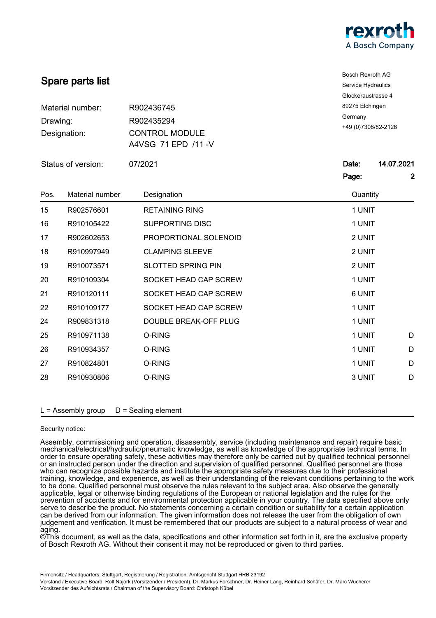

|                                              | Spare parts list | <b>Bosch Rexroth AG</b><br>Service Hydraulics<br>Glockeraustrasse 4<br>89275 Elchingen<br>Germany<br>+49 (0) 7308/82-2126 |                     |                                     |
|----------------------------------------------|------------------|---------------------------------------------------------------------------------------------------------------------------|---------------------|-------------------------------------|
| Material number:<br>Drawing:<br>Designation: |                  |                                                                                                                           |                     | R902436745                          |
|                                              |                  |                                                                                                                           |                     | R902435294<br><b>CONTROL MODULE</b> |
|                                              |                  |                                                                                                                           |                     |                                     |
| Status of version:                           |                  | 07/2021                                                                                                                   | 14.07.2021<br>Date: |                                     |
|                                              |                  |                                                                                                                           | Page:               | $\mathbf{2}$                        |
| Pos.                                         | Material number  | Designation                                                                                                               | Quantity            |                                     |
| 15                                           | R902576601       | <b>RETAINING RING</b>                                                                                                     | 1 UNIT              |                                     |
| 16                                           | R910105422       | <b>SUPPORTING DISC</b>                                                                                                    | 1 UNIT              |                                     |
| 17                                           | R902602653       | PROPORTIONAL SOLENOID                                                                                                     | 2 UNIT              |                                     |
| 18                                           | R910997949       | <b>CLAMPING SLEEVE</b>                                                                                                    | 2 UNIT              |                                     |
| 19                                           | R910073571       | <b>SLOTTED SPRING PIN</b>                                                                                                 | 2 UNIT              |                                     |
| 20                                           | R910109304       | SOCKET HEAD CAP SCREW                                                                                                     | 1 UNIT              |                                     |
| 21                                           | R910120111       | SOCKET HEAD CAP SCREW                                                                                                     | 6 UNIT              |                                     |
| 22                                           | R910109177       | SOCKET HEAD CAP SCREW                                                                                                     | 1 UNIT              |                                     |
| 24                                           | R909831318       | DOUBLE BREAK-OFF PLUG                                                                                                     | 1 UNIT              |                                     |
| 25                                           | R910971138       | O-RING                                                                                                                    | 1 UNIT<br>D         |                                     |
| 26                                           | R910934357       | O-RING                                                                                                                    | 1 UNIT<br>D         |                                     |
| 27                                           | R910824801       | O-RING                                                                                                                    | 1 UNIT<br>D         |                                     |
| 28                                           | R910930806       | O-RING                                                                                                                    | 3 UNIT<br>D         |                                     |
|                                              |                  |                                                                                                                           |                     |                                     |

# Security notice:

Assembly, commissioning and operation, disassembly, service (including maintenance and repair) require basic mechanical/electrical/hydraulic/pneumatic knowledge, as well as knowledge of the appropriate technical terms. In order to ensure operating safety, these activities may therefore only be carried out by qualified technical personnel or an instructed person under the direction and supervision of qualified personnel. Qualified personnel are those who can recognize possible hazards and institute the appropriate safety measures due to their professional training, knowledge, and experience, as well as their understanding of the relevant conditions pertaining to the work to be done. Qualified personnel must observe the rules relevant to the subject area. Also observe the generally applicable, legal or otherwise binding regulations of the European or national legislation and the rules for the prevention of accidents and for environmental protection applicable in your country. The data specified above only serve to describe the product. No statements concerning a certain condition or suitability for a certain application can be derived from our information. The given information does not release the user from the obligation of own judgement and verification. It must be remembered that our products are subject to a natural process of wear and aging.

©This document, as well as the data, specifications and other information set forth in it, are the exclusive property of Bosch Rexroth AG. Without their consent it may not be reproduced or given to third parties.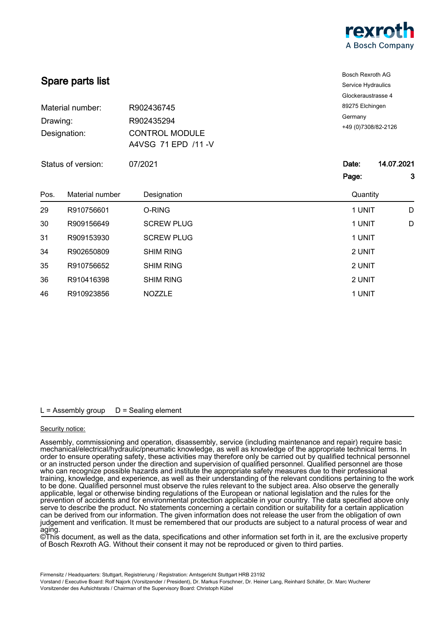

|                                              |                  | <b>Bosch Rexroth AG</b>                                                  |                                                    |  |                    |  |         |                     |
|----------------------------------------------|------------------|--------------------------------------------------------------------------|----------------------------------------------------|--|--------------------|--|---------|---------------------|
|                                              | Spare parts list |                                                                          | Service Hydraulics                                 |  |                    |  |         |                     |
|                                              |                  |                                                                          | Glockeraustrasse 4                                 |  |                    |  |         |                     |
| Material number:<br>Drawing:<br>Designation: |                  | R902436745<br>R902435294<br><b>CONTROL MODULE</b><br>A4VSG 71 EPD /11 -V | 89275 Elchingen<br>Germany<br>+49 (0) 7308/82-2126 |  |                    |  |         |                     |
|                                              |                  |                                                                          |                                                    |  | Status of version: |  | 07/2021 | 14.07.2021<br>Date: |
|                                              |                  |                                                                          |                                                    |  |                    |  |         | 3<br>Page:          |
|                                              |                  |                                                                          |                                                    |  |                    |  |         |                     |
| Pos.                                         | Material number  | Designation                                                              | Quantity                                           |  |                    |  |         |                     |
| 29                                           | R910756601       | O-RING                                                                   | 1 UNIT<br>D                                        |  |                    |  |         |                     |
| 30                                           | R909156649       | <b>SCREW PLUG</b>                                                        | 1 UNIT<br>D                                        |  |                    |  |         |                     |
| 31                                           | R909153930       | <b>SCREW PLUG</b>                                                        | 1 UNIT                                             |  |                    |  |         |                     |
| 34                                           | R902650809       | <b>SHIM RING</b>                                                         | 2 UNIT                                             |  |                    |  |         |                     |
| 35                                           | R910756652       | <b>SHIM RING</b>                                                         | 2 UNIT                                             |  |                    |  |         |                     |
| 36                                           | R910416398       | <b>SHIM RING</b>                                                         | 2 UNIT                                             |  |                    |  |         |                     |

## Security notice:

Assembly, commissioning and operation, disassembly, service (including maintenance and repair) require basic mechanical/electrical/hydraulic/pneumatic knowledge, as well as knowledge of the appropriate technical terms. In order to ensure operating safety, these activities may therefore only be carried out by qualified technical personnel or an instructed person under the direction and supervision of qualified personnel. Qualified personnel are those who can recognize possible hazards and institute the appropriate safety measures due to their professional training, knowledge, and experience, as well as their understanding of the relevant conditions pertaining to the work to be done. Qualified personnel must observe the rules relevant to the subject area. Also observe the generally applicable, legal or otherwise binding regulations of the European or national legislation and the rules for the prevention of accidents and for environmental protection applicable in your country. The data specified above only serve to describe the product. No statements concerning a certain condition or suitability for a certain application can be derived from our information. The given information does not release the user from the obligation of own judgement and verification. It must be remembered that our products are subject to a natural process of wear and aging.

©This document, as well as the data, specifications and other information set forth in it, are the exclusive property of Bosch Rexroth AG. Without their consent it may not be reproduced or given to third parties.